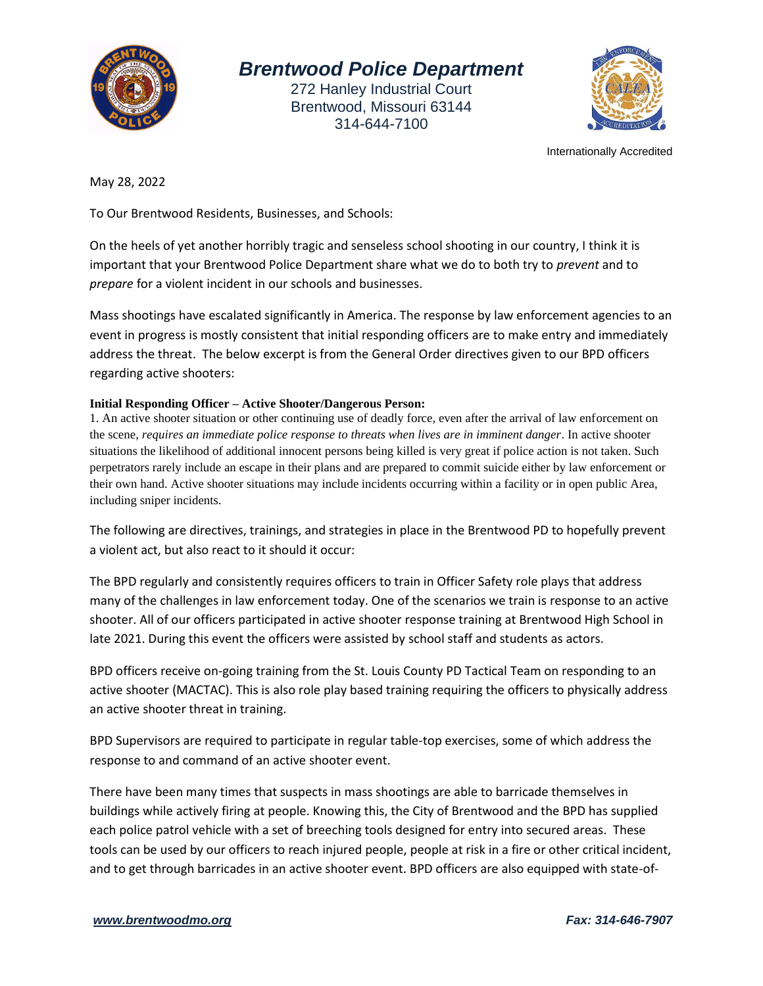

## *Brentwood Police Department*

272 Hanley Industrial Court Brentwood, Missouri 63144 314-644-7100



Internationally Accredited

May 28, 2022

To Our Brentwood Residents, Businesses, and Schools:

On the heels of yet another horribly tragic and senseless school shooting in our country, I think it is important that your Brentwood Police Department share what we do to both try to *prevent* and to *prepare* for a violent incident in our schools and businesses.

Mass shootings have escalated significantly in America. The response by law enforcement agencies to an event in progress is mostly consistent that initial responding officers are to make entry and immediately address the threat. The below excerpt is from the General Order directives given to our BPD officers regarding active shooters:

## **Initial Responding Officer – Active Shooter/Dangerous Person:**

1. An active shooter situation or other continuing use of deadly force, even after the arrival of law enforcement on the scene, *requires an immediate police response to threats when lives are in imminent danger*. In active shooter situations the likelihood of additional innocent persons being killed is very great if police action is not taken. Such perpetrators rarely include an escape in their plans and are prepared to commit suicide either by law enforcement or their own hand. Active shooter situations may include incidents occurring within a facility or in open public Area, including sniper incidents.

The following are directives, trainings, and strategies in place in the Brentwood PD to hopefully prevent a violent act, but also react to it should it occur:

The BPD regularly and consistently requires officers to train in Officer Safety role plays that address many of the challenges in law enforcement today. One of the scenarios we train is response to an active shooter. All of our officers participated in active shooter response training at Brentwood High School in late 2021. During this event the officers were assisted by school staff and students as actors.

BPD officers receive on-going training from the St. Louis County PD Tactical Team on responding to an active shooter (MACTAC). This is also role play based training requiring the officers to physically address an active shooter threat in training.

BPD Supervisors are required to participate in regular table-top exercises, some of which address the response to and command of an active shooter event.

There have been many times that suspects in mass shootings are able to barricade themselves in buildings while actively firing at people. Knowing this, the City of Brentwood and the BPD has supplied each police patrol vehicle with a set of breeching tools designed for entry into secured areas. These tools can be used by our officers to reach injured people, people at risk in a fire or other critical incident, and to get through barricades in an active shooter event. BPD officers are also equipped with state-of-